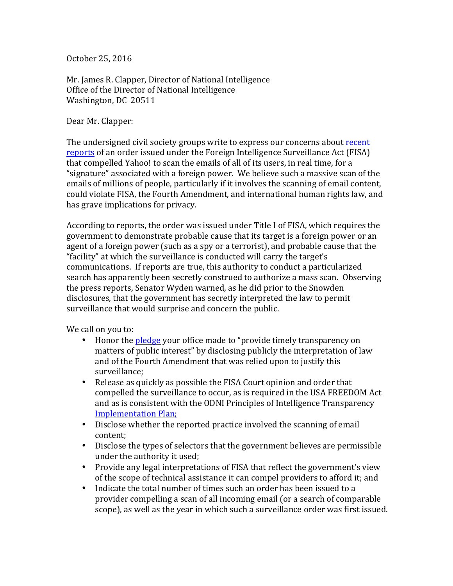October 25, 2016

Mr. James R. Clapper, Director of National Intelligence Office of the Director of National Intelligence Washington, DC 20511

Dear Mr. Clapper:

The undersigned civil society groups write to express our concerns about recent [reports](http://www.nytimes.com/2016/10/06/technology/yahoo-email-tech-companies-government-investigations.html?_r=0) of an order issued under the Foreign Intelligence Surveillance Act (FISA) that compelled Yahoo! to scan the emails of all of its users, in real time, for a "signature" associated with a foreign power. We believe such a massive scan of the emails of millions of people, particularly if it involves the scanning of email content, could violate FISA, the Fourth Amendment, and international human rights law, and has grave implications for privacy.

According to reports, the order was issued under Title I of FISA, which requires the government to demonstrate probable cause that its target is a foreign power or an agent of a foreign power (such as a spy or a terrorist), and probable cause that the "facility" at which the surveillance is conducted will carry the target's communications. If reports are true, this authority to conduct a particularized search has apparently been secretly construed to authorize a mass scan. Observing the press reports, Senator Wyden warned, as he did prior to the Snowden disclosures, that the government has secretly interpreted the law to permit surveillance that would surprise and concern the public.

We call on you to:

- Honor the pledge your office made to "provide timely transparency on matters of public interest" by disclosing publicly the interpretation of law and of the Fourth Amendment that was relied upon to justify this surveillance;
- Release as quickly as possible the FISA Court opinion and order that compelled the surveillance to occur, as is required in the USA FREEDOM Act and as is consistent with the ODNI Principles of Intelligence Transparency Implementation Plan:
- Disclose whether the reported practice involved the scanning of email content;
- Disclose the types of selectors that the government believes are permissible under the authority it used;
- Provide any legal interpretations of FISA that reflect the government's view of the scope of technical assistance it can compel providers to afford it; and
- Indicate the total number of times such an order has been issued to a provider compelling a scan of all incoming email (or a search of comparable scope), as well as the year in which such a surveillance order was first issued.